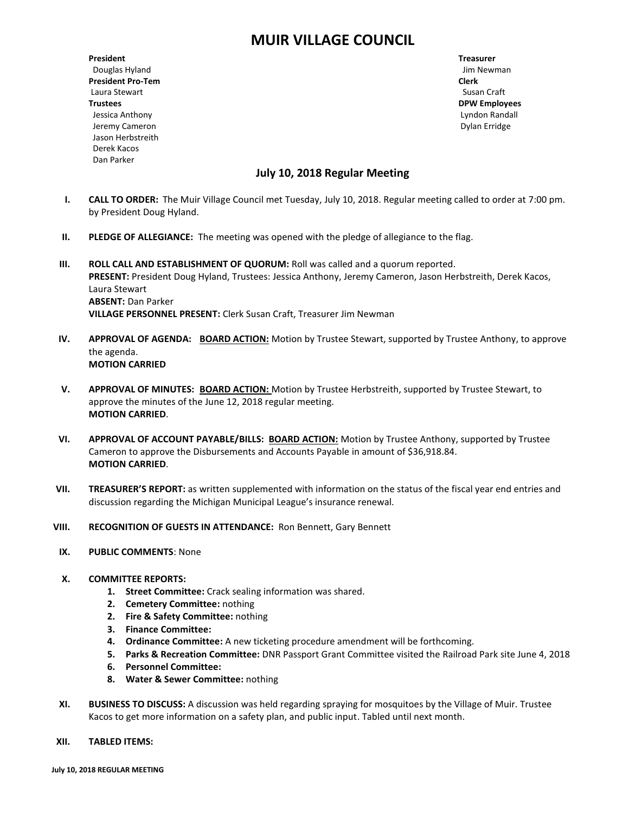# **MUIR VILLAGE COUNCIL**

**President Treasurer** Douglas Hyland Jim Newman **President Pro-Tem Clerk** Laura Stewart **Susan Craft Trustees DPW Employees** Jessica Anthony Lyndon Randall Jeremy Cameron Dylan Erridge Jason Herbstreith Derek Kacos Dan Parker

## **July 10, 2018 Regular Meeting**

- **I. CALL TO ORDER:** The Muir Village Council met Tuesday, July 10, 2018. Regular meeting called to order at 7:00 pm. by President Doug Hyland.
- **II. PLEDGE OF ALLEGIANCE:** The meeting was opened with the pledge of allegiance to the flag.
- **III. ROLL CALL AND ESTABLISHMENT OF QUORUM:** Roll was called and a quorum reported. **PRESENT:** President Doug Hyland, Trustees: Jessica Anthony, Jeremy Cameron, Jason Herbstreith, Derek Kacos, Laura Stewart **ABSENT:** Dan Parker **VILLAGE PERSONNEL PRESENT:** Clerk Susan Craft, Treasurer Jim Newman
- **IV. APPROVAL OF AGENDA: BOARD ACTION:** Motion by Trustee Stewart, supported by Trustee Anthony, to approve the agenda. **MOTION CARRIED**
- **V. APPROVAL OF MINUTES: BOARD ACTION:** Motion by Trustee Herbstreith, supported by Trustee Stewart, to approve the minutes of the June 12, 2018 regular meeting. **MOTION CARRIED**.
- **VI. APPROVAL OF ACCOUNT PAYABLE/BILLS: BOARD ACTION:** Motion by Trustee Anthony, supported by Trustee Cameron to approve the Disbursements and Accounts Payable in amount of \$36,918.84. **MOTION CARRIED**.
- **VII. TREASURER'S REPORT:** as written supplemented with information on the status of the fiscal year end entries and discussion regarding the Michigan Municipal League's insurance renewal.
- **VIII. RECOGNITION OF GUESTS IN ATTENDANCE:** Ron Bennett, Gary Bennett
- **IX. PUBLIC COMMENTS**: None
- **X. COMMITTEE REPORTS:**
	- **1. Street Committee:** Crack sealing information was shared.
	- **2. Cemetery Committee:** nothing
	- **2. Fire & Safety Committee:** nothing
	- **3. Finance Committee:**
	- **4. Ordinance Committee:** A new ticketing procedure amendment will be forthcoming.
	- **5. Parks & Recreation Committee:** DNR Passport Grant Committee visited the Railroad Park site June 4, 2018
	- **6. Personnel Committee:**
	- **8. Water & Sewer Committee:** nothing
- **XI. BUSINESS TO DISCUSS:** A discussion was held regarding spraying for mosquitoes by the Village of Muir. Trustee Kacos to get more information on a safety plan, and public input. Tabled until next month.
- **XII. TABLED ITEMS:**